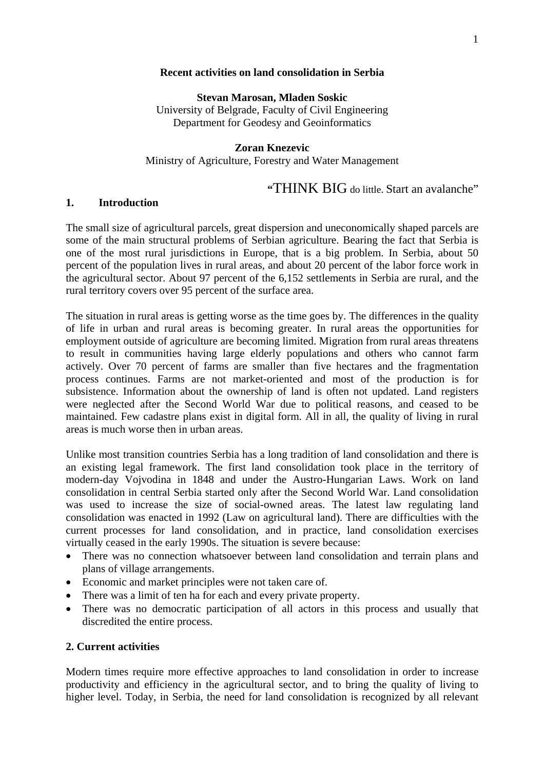#### **Recent activities on land consolidation in Serbia**

**Stevan Marosan, Mladen Soskic**  University of Belgrade, Faculty of Civil Engineering Department for Geodesy and Geoinformatics

### **Zoran Knezevic**

#### Ministry of Agriculture, Forestry and Water Management

# **"**THINK BIG do little. Start an avalanche"

#### **1. Introduction**

The small size of agricultural parcels, great dispersion and uneconomically shaped parcels are some of the main structural problems of Serbian agriculture. Bearing the fact that Serbia is one of the most rural jurisdictions in Europe, that is a big problem. In Serbia, about 50 percent of the population lives in rural areas, and about 20 percent of the labor force work in the agricultural sector. About 97 percent of the 6,152 settlements in Serbia are rural, and the rural territory covers over 95 percent of the surface area.

The situation in rural areas is getting worse as the time goes by. The differences in the quality of life in urban and rural areas is becoming greater. In rural areas the opportunities for employment outside of agriculture are becoming limited. Migration from rural areas threatens to result in communities having large elderly populations and others who cannot farm actively. Over 70 percent of farms are smaller than five hectares and the fragmentation process continues. Farms are not market-oriented and most of the production is for subsistence. Information about the ownership of land is often not updated. Land registers were neglected after the Second World War due to political reasons, and ceased to be maintained. Few cadastre plans exist in digital form. All in all, the quality of living in rural areas is much worse then in urban areas.

Unlike most transition countries Serbia has a long tradition of land consolidation and there is an existing legal framework. The first land consolidation took place in the territory of modern-day Vojvodina in 1848 and under the Austro-Hungarian Laws. Work on land consolidation in central Serbia started only after the Second World War. Land consolidation was used to increase the size of social-owned areas. The latest law regulating land consolidation was enacted in 1992 (Law on agricultural land). There are difficulties with the current processes for land consolidation, and in practice, land consolidation exercises virtually ceased in the early 1990s. The situation is severe because:

- There was no connection whatsoever between land consolidation and terrain plans and plans of village arrangements.
- Economic and market principles were not taken care of.
- There was a limit of ten ha for each and every private property.
- There was no democratic participation of all actors in this process and usually that discredited the entire process.

### **2. Current activities**

Modern times require more effective approaches to land consolidation in order to increase productivity and efficiency in the agricultural sector, and to bring the quality of living to higher level. Today, in Serbia, the need for land consolidation is recognized by all relevant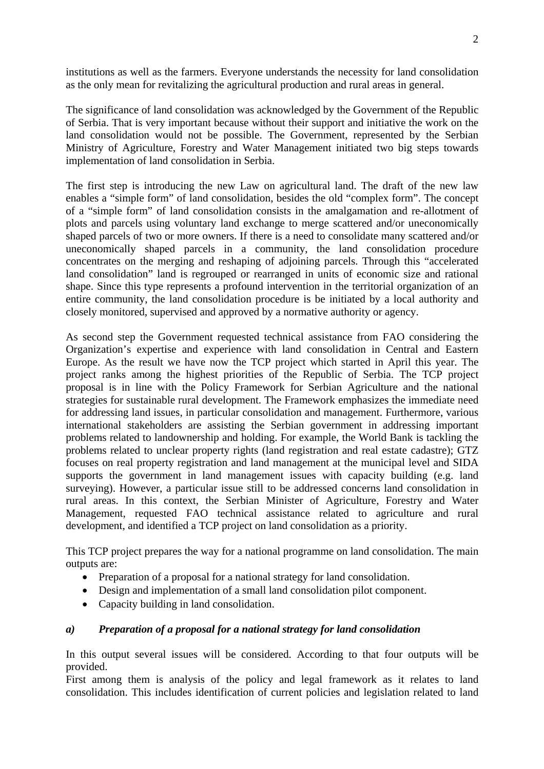institutions as well as the farmers. Everyone understands the necessity for land consolidation as the only mean for revitalizing the agricultural production and rural areas in general.

The significance of land consolidation was acknowledged by the Government of the Republic of Serbia. That is very important because without their support and initiative the work on the land consolidation would not be possible. The Government, represented by the Serbian Ministry of Agriculture, Forestry and Water Management initiated two big steps towards implementation of land consolidation in Serbia.

The first step is introducing the new Law on agricultural land. The draft of the new law enables a "simple form" of land consolidation, besides the old "complex form". The concept of a "simple form" of land consolidation consists in the amalgamation and re-allotment of plots and parcels using voluntary land exchange to merge scattered and/or uneconomically shaped parcels of two or more owners. If there is a need to consolidate many scattered and/or uneconomically shaped parcels in a community, the land consolidation procedure concentrates on the merging and reshaping of adjoining parcels. Through this "accelerated land consolidation" land is regrouped or rearranged in units of economic size and rational shape. Since this type represents a profound intervention in the territorial organization of an entire community, the land consolidation procedure is be initiated by a local authority and closely monitored, supervised and approved by a normative authority or agency.

As second step the Government requested technical assistance from FAO considering the Organization's expertise and experience with land consolidation in Central and Eastern Europe. As the result we have now the TCP project which started in April this year. The project ranks among the highest priorities of the Republic of Serbia. The TCP project proposal is in line with the Policy Framework for Serbian Agriculture and the national strategies for sustainable rural development. The Framework emphasizes the immediate need for addressing land issues, in particular consolidation and management. Furthermore, various international stakeholders are assisting the Serbian government in addressing important problems related to landownership and holding. For example, the World Bank is tackling the problems related to unclear property rights (land registration and real estate cadastre); GTZ focuses on real property registration and land management at the municipal level and SIDA supports the government in land management issues with capacity building (e.g. land surveying). However, a particular issue still to be addressed concerns land consolidation in rural areas. In this context, the Serbian Minister of Agriculture, Forestry and Water Management, requested FAO technical assistance related to agriculture and rural development, and identified a TCP project on land consolidation as a priority.

This TCP project prepares the way for a national programme on land consolidation. The main outputs are:

- Preparation of a proposal for a national strategy for land consolidation.
- Design and implementation of a small land consolidation pilot component.
- Capacity building in land consolidation.

## *a) Preparation of a proposal for a national strategy for land consolidation*

In this output several issues will be considered. According to that four outputs will be provided.

First among them is analysis of the policy and legal framework as it relates to land consolidation. This includes identification of current policies and legislation related to land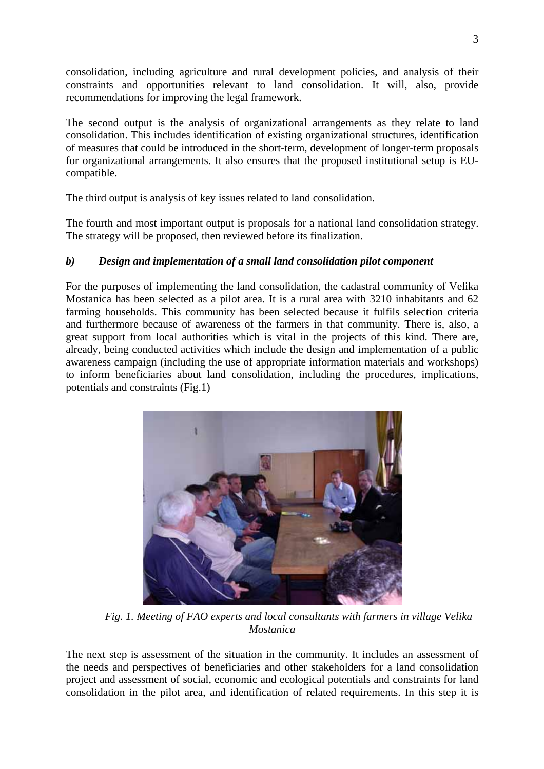consolidation, including agriculture and rural development policies, and analysis of their constraints and opportunities relevant to land consolidation. It will, also, provide recommendations for improving the legal framework.

The second output is the analysis of organizational arrangements as they relate to land consolidation. This includes identification of existing organizational structures, identification of measures that could be introduced in the short-term, development of longer-term proposals for organizational arrangements. It also ensures that the proposed institutional setup is EUcompatible.

The third output is analysis of key issues related to land consolidation.

The fourth and most important output is proposals for a national land consolidation strategy. The strategy will be proposed, then reviewed before its finalization.

# *b) Design and implementation of a small land consolidation pilot component*

For the purposes of implementing the land consolidation, the cadastral community of Velika Mostanica has been selected as a pilot area. It is a rural area with 3210 inhabitants and 62 farming households. This community has been selected because it fulfils selection criteria and furthermore because of awareness of the farmers in that community. There is, also, a great support from local authorities which is vital in the projects of this kind. There are, already, being conducted activities which include the design and implementation of a public awareness campaign (including the use of appropriate information materials and workshops) to inform beneficiaries about land consolidation, including the procedures, implications, potentials and constraints (Fig.1)



*Fig. 1. Meeting of FAO experts and local consultants with farmers in village Velika Mostanica* 

The next step is assessment of the situation in the community. It includes an assessment of the needs and perspectives of beneficiaries and other stakeholders for a land consolidation project and assessment of social, economic and ecological potentials and constraints for land consolidation in the pilot area, and identification of related requirements. In this step it is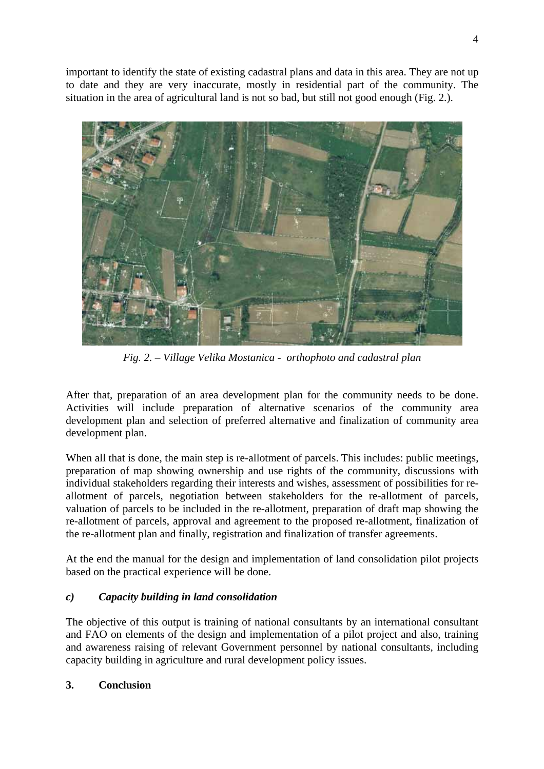important to identify the state of existing cadastral plans and data in this area. They are not up to date and they are very inaccurate, mostly in residential part of the community. The situation in the area of agricultural land is not so bad, but still not good enough (Fig. 2.).



*Fig. 2. – Village Velika Mostanica - orthophoto and cadastral plan* 

After that, preparation of an area development plan for the community needs to be done. Activities will include preparation of alternative scenarios of the community area development plan and selection of preferred alternative and finalization of community area development plan.

When all that is done, the main step is re-allotment of parcels. This includes: public meetings, preparation of map showing ownership and use rights of the community, discussions with individual stakeholders regarding their interests and wishes, assessment of possibilities for reallotment of parcels, negotiation between stakeholders for the re-allotment of parcels, valuation of parcels to be included in the re-allotment, preparation of draft map showing the re-allotment of parcels, approval and agreement to the proposed re-allotment, finalization of the re-allotment plan and finally, registration and finalization of transfer agreements.

At the end the manual for the design and implementation of land consolidation pilot projects based on the practical experience will be done.

## *c) Capacity building in land consolidation*

The objective of this output is training of national consultants by an international consultant and FAO on elements of the design and implementation of a pilot project and also, training and awareness raising of relevant Government personnel by national consultants, including capacity building in agriculture and rural development policy issues.

### **3. Conclusion**